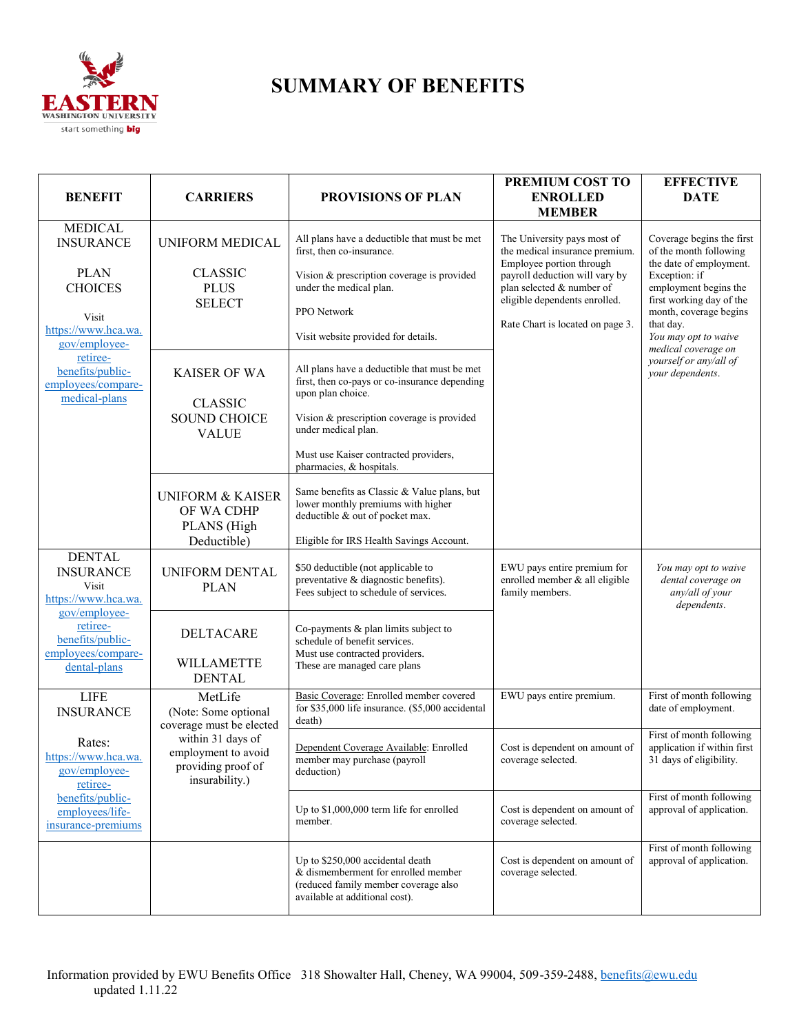

# **EASTERN**<br>WASHINGTON UNIVERSITY

| <b>BENEFIT</b>                                                                                                                                                                                               | <b>CARRIERS</b>                                                                  | <b>PROVISIONS OF PLAN</b>                                                                                                                                                                                                    | PREMIUM COST TO<br><b>ENROLLED</b>                                                                                                                                                                                            | <b>EFFECTIVE</b><br><b>DATE</b>                                                                                                                                                                                                                                                          |
|--------------------------------------------------------------------------------------------------------------------------------------------------------------------------------------------------------------|----------------------------------------------------------------------------------|------------------------------------------------------------------------------------------------------------------------------------------------------------------------------------------------------------------------------|-------------------------------------------------------------------------------------------------------------------------------------------------------------------------------------------------------------------------------|------------------------------------------------------------------------------------------------------------------------------------------------------------------------------------------------------------------------------------------------------------------------------------------|
|                                                                                                                                                                                                              |                                                                                  |                                                                                                                                                                                                                              | <b>MEMBER</b>                                                                                                                                                                                                                 |                                                                                                                                                                                                                                                                                          |
| <b>MEDICAL</b><br><b>INSURANCE</b>                                                                                                                                                                           | UNIFORM MEDICAL                                                                  | All plans have a deductible that must be met<br>first, then co-insurance.                                                                                                                                                    | The University pays most of<br>the medical insurance premium.<br>Employee portion through<br>payroll deduction will vary by<br>plan selected & number of<br>eligible dependents enrolled.<br>Rate Chart is located on page 3. | Coverage begins the first<br>of the month following<br>the date of employment.<br>Exception: if<br>employment begins the<br>first working day of the<br>month, coverage begins<br>that day.<br>You may opt to waive<br>medical coverage on<br>yourself or any/all of<br>your dependents. |
| <b>PLAN</b><br><b>CHOICES</b><br>Visit<br>https://www.hca.wa.<br>gov/employee-<br>retiree-<br>benefits/public-<br>employees/compare-                                                                         | <b>CLASSIC</b><br><b>PLUS</b><br><b>SELECT</b><br><b>KAISER OF WA</b>            | Vision & prescription coverage is provided<br>under the medical plan.<br>PPO Network<br>Visit website provided for details.<br>All plans have a deductible that must be met<br>first, then co-pays or co-insurance depending |                                                                                                                                                                                                                               |                                                                                                                                                                                                                                                                                          |
| medical-plans                                                                                                                                                                                                | <b>CLASSIC</b><br><b>SOUND CHOICE</b><br><b>VALUE</b>                            | upon plan choice.<br>Vision & prescription coverage is provided<br>under medical plan.<br>Must use Kaiser contracted providers,<br>pharmacies, & hospitals.                                                                  |                                                                                                                                                                                                                               |                                                                                                                                                                                                                                                                                          |
|                                                                                                                                                                                                              | UNIFORM & KAISER<br>OF WA CDHP<br>PLANS (High<br>Deductible)                     | Same benefits as Classic & Value plans, but<br>lower monthly premiums with higher<br>deductible & out of pocket max.<br>Eligible for IRS Health Savings Account.                                                             |                                                                                                                                                                                                                               |                                                                                                                                                                                                                                                                                          |
| <b>DENTAL</b><br><b>INSURANCE</b><br><b>Visit</b><br><b>PLAN</b><br>https://www.hca.wa.<br>gov/employee-<br>retiree-<br>DELTACARE<br>benefits/public-<br>employees/compare-<br>dental-plans<br><b>DENTAL</b> | UNIFORM DENTAL                                                                   | \$50 deductible (not applicable to<br>preventative & diagnostic benefits).<br>Fees subject to schedule of services.                                                                                                          | EWU pays entire premium for<br>enrolled member & all eligible<br>family members.                                                                                                                                              | You may opt to waive<br>dental coverage on<br>any/all of your<br>dependents.                                                                                                                                                                                                             |
|                                                                                                                                                                                                              | WILLAMETTE                                                                       | Co-payments & plan limits subject to<br>schedule of benefit services.<br>Must use contracted providers.<br>These are managed care plans                                                                                      |                                                                                                                                                                                                                               |                                                                                                                                                                                                                                                                                          |
| <b>LIFE</b><br><b>INSURANCE</b>                                                                                                                                                                              | MetLife<br>(Note: Some optional<br>coverage must be elected                      | Basic Coverage: Enrolled member covered<br>for \$35,000 life insurance. (\$5,000 accidental<br>death)                                                                                                                        | EWU pays entire premium.                                                                                                                                                                                                      | First of month following<br>date of employment.                                                                                                                                                                                                                                          |
| Rates:<br>https://www.hca.wa.<br>gov/employee-<br>retiree-<br>benefits/public-<br>employees/life-<br>insurance-premiums                                                                                      | within 31 days of<br>employment to avoid<br>providing proof of<br>insurability.) | Dependent Coverage Available: Enrolled<br>member may purchase (payroll<br>deduction)                                                                                                                                         | Cost is dependent on amount of<br>coverage selected.                                                                                                                                                                          | First of month following<br>application if within first<br>31 days of eligibility.                                                                                                                                                                                                       |
|                                                                                                                                                                                                              |                                                                                  | Up to \$1,000,000 term life for enrolled<br>member.                                                                                                                                                                          | Cost is dependent on amount of<br>coverage selected.                                                                                                                                                                          | First of month following<br>approval of application.                                                                                                                                                                                                                                     |
|                                                                                                                                                                                                              |                                                                                  | Up to \$250,000 accidental death<br>& dismemberment for enrolled member<br>(reduced family member coverage also<br>available at additional cost).                                                                            | Cost is dependent on amount of<br>coverage selected.                                                                                                                                                                          | First of month following<br>approval of application.                                                                                                                                                                                                                                     |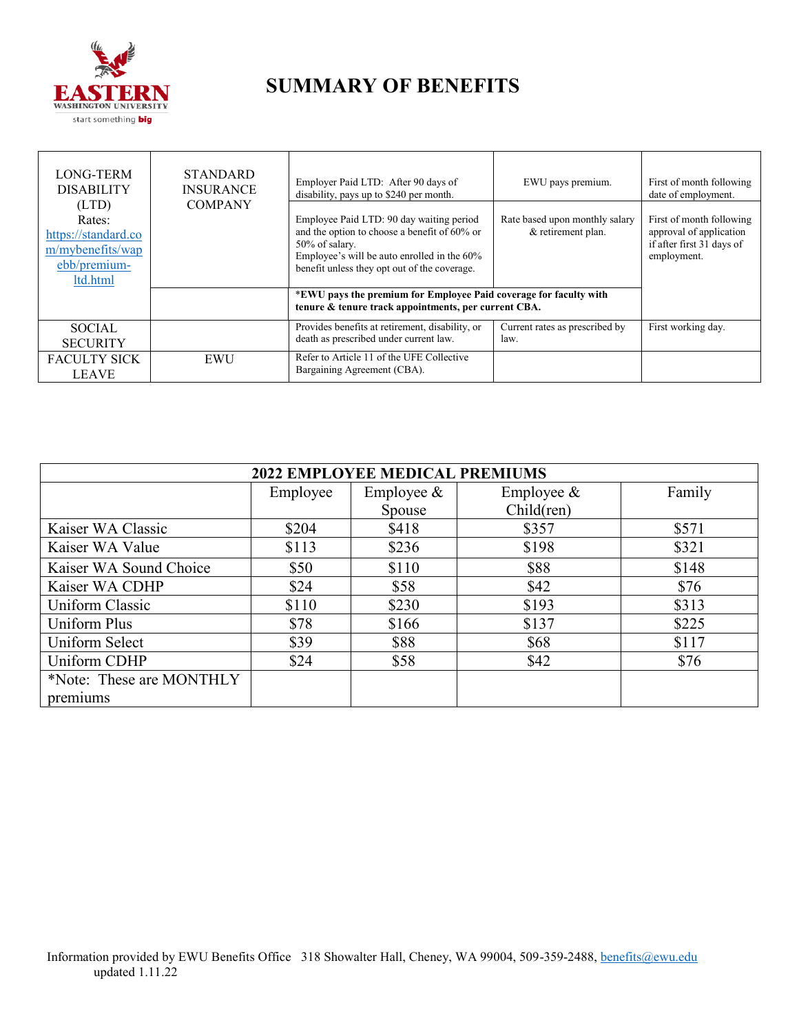

## **SUMMARY OF BENEFITS**

| LONG-TERM<br><b>DISABILITY</b>                                                         | <b>STANDARD</b><br><b>INSURANCE</b> | Employer Paid LTD: After 90 days of<br>disability, pays up to \$240 per month.                                                                                                                            | EWU pays premium.                                    | First of month following<br>date of employment.                                                 |
|----------------------------------------------------------------------------------------|-------------------------------------|-----------------------------------------------------------------------------------------------------------------------------------------------------------------------------------------------------------|------------------------------------------------------|-------------------------------------------------------------------------------------------------|
| (LTD)<br>Rates:<br>https://standard.co<br>m/mybenefits/wap<br>ebb/premium-<br>ltd.html | <b>COMPANY</b>                      | Employee Paid LTD: 90 day waiting period<br>and the option to choose a benefit of 60% or<br>50% of salary.<br>Employee's will be auto enrolled in the 60%<br>benefit unless they opt out of the coverage. | Rate based upon monthly salary<br>& retirement plan. | First of month following<br>approval of application<br>if after first 31 days of<br>employment. |
|                                                                                        |                                     | *EWU pays the premium for Employee Paid coverage for faculty with<br>tenure & tenure track appointments, per current CBA.                                                                                 |                                                      |                                                                                                 |
| <b>SOCIAL</b><br><b>SECURITY</b>                                                       |                                     | Provides benefits at retirement, disability, or<br>death as prescribed under current law.                                                                                                                 | Current rates as prescribed by<br>law.               | First working day.                                                                              |
| <b>FACULTY SICK</b><br><b>LEAVE</b>                                                    | <b>EWU</b>                          | Refer to Article 11 of the UFE Collective<br>Bargaining Agreement (CBA).                                                                                                                                  |                                                      |                                                                                                 |

| <b>2022 EMPLOYEE MEDICAL PREMIUMS</b> |          |              |              |        |
|---------------------------------------|----------|--------------|--------------|--------|
|                                       | Employee | Employee $&$ | Employee $&$ | Family |
|                                       |          | Spouse       | Child(ren)   |        |
| Kaiser WA Classic                     | \$204    | \$418        | \$357        | \$571  |
| Kaiser WA Value                       | \$113    | \$236        | \$198        | \$321  |
| Kaiser WA Sound Choice                | \$50     | \$110        | \$88         | \$148  |
| Kaiser WA CDHP                        | \$24     | \$58         | \$42         | \$76   |
| Uniform Classic                       | \$110    | \$230        | \$193        | \$313  |
| Uniform Plus                          | \$78     | \$166        | \$137        | \$225  |
| Uniform Select                        | \$39     | \$88         | \$68         | \$117  |
| Uniform CDHP                          | \$24     | \$58         | \$42         | \$76   |
| *Note: These are MONTHLY              |          |              |              |        |
| premiums                              |          |              |              |        |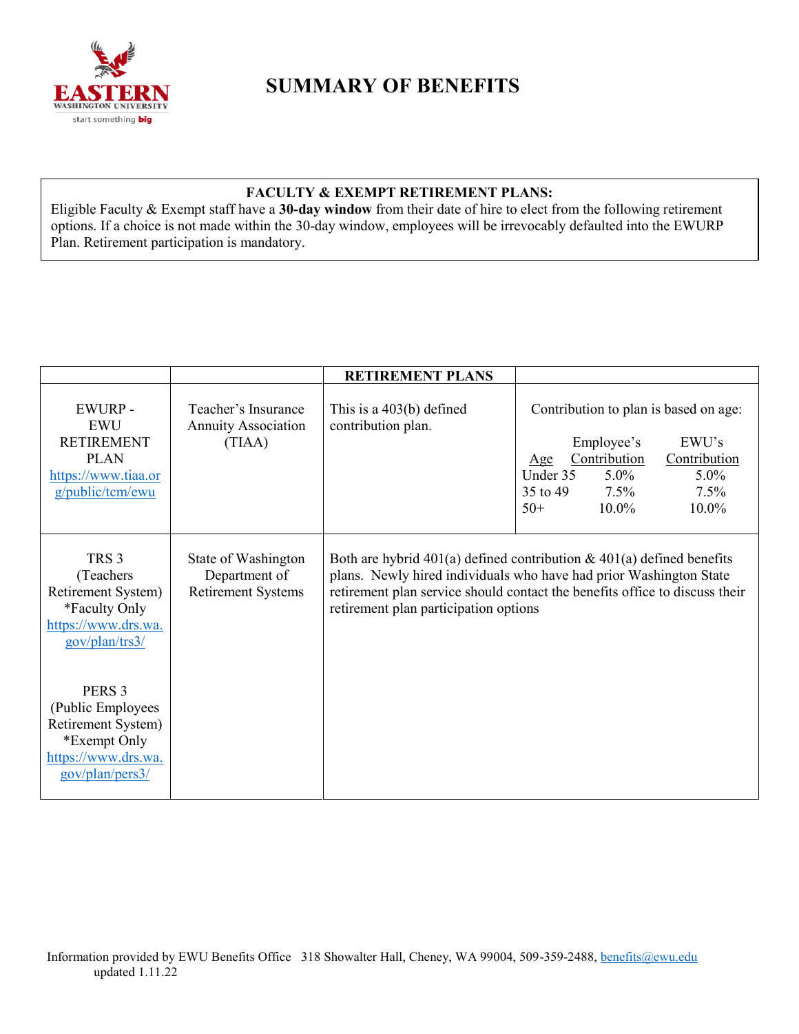

## **SUMMARY OF BENEFITS**

#### **FACULTY & EXEMPT RETIREMENT PLANS:**

Eligible Faculty & Exempt staff have a **30-day window** from their date of hire to elect from the following retirement options. If a choice is not made within the 30-day window, employees will be irrevocably defaulted into the EWURP Plan. Retirement participation is mandatory.

|                                                                                                                        |                                                                   | <b>RETIREMENT PLANS</b>                          |                                                                                                                                                                                                                               |
|------------------------------------------------------------------------------------------------------------------------|-------------------------------------------------------------------|--------------------------------------------------|-------------------------------------------------------------------------------------------------------------------------------------------------------------------------------------------------------------------------------|
| <b>EWURP-</b><br><b>EWU</b><br><b>RETIREMENT</b><br><b>PLAN</b><br>https://www.tiaa.or<br>g/public/tcm/ewu             | Teacher's Insurance<br><b>Annuity Association</b><br>(TIAA)       | This is a $403(b)$ defined<br>contribution plan. | Contribution to plan is based on age:<br>Employee's<br>EWU's<br>Contribution<br>Contribution<br>Age<br>Under 35<br>$5.0\%$<br>$5.0\%$<br>35 to 49<br>$7.5\%$<br>7.5%<br>$10.0\%$<br>10.0%<br>$50+$                            |
| TRS <sub>3</sub><br>(Teachers)<br>Retirement System)<br>*Faculty Only<br>https://www.drs.wa.<br>gov/plan/trs3/         | State of Washington<br>Department of<br><b>Retirement Systems</b> | retirement plan participation options            | Both are hybrid 401(a) defined contribution $\&$ 401(a) defined benefits<br>plans. Newly hired individuals who have had prior Washington State<br>retirement plan service should contact the benefits office to discuss their |
| PERS <sub>3</sub><br>(Public Employees<br>Retirement System)<br>*Exempt Only<br>https://www.drs.wa.<br>gov/plan/pers3/ |                                                                   |                                                  |                                                                                                                                                                                                                               |